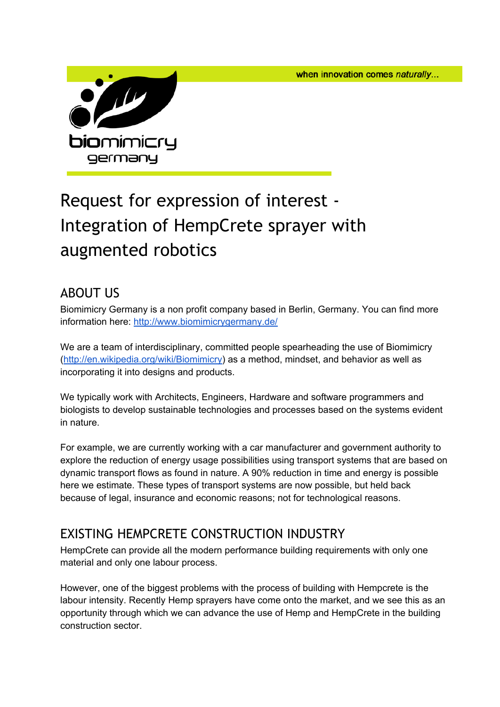when innovation comes naturally...



# Request for expression of interest - Integration of HempCrete sprayer with augmented robotics

## ABOUT US

Biomimicry Germany is a non profit company based in Berlin, Germany. You can find more information here: [http://www.biomimicrygermany.de/](http://www.google.com/url?q=http%3A%2F%2Fwww.biomimicrygermany.de%2F&sa=D&sntz=1&usg=AFQjCNHTsUp-GHoFgGxAj3mAL2ljXcY9-A)

We are a team of interdisciplinary, committed people spearheading the use of Biomimicry [\(http://en.wikipedia.org/wiki/Biomimicry\)](http://www.google.com/url?q=http%3A%2F%2Fen.wikipedia.org%2Fwiki%2FBiomimicry&sa=D&sntz=1&usg=AFQjCNHpuUdBNr296G6VcR2p4_w5up0DOA) as a method, mindset, and behavior as well as incorporating it into designs and products.

We typically work with Architects, Engineers, Hardware and software programmers and biologists to develop sustainable technologies and processes based on the systems evident in nature.

For example, we are currently working with a car manufacturer and government authority to explore the reduction of energy usage possibilities using transport systems that are based on dynamic transport flows as found in nature. A 90% reduction in time and energy is possible here we estimate. These types of transport systems are now possible, but held back because of legal, insurance and economic reasons; not for technological reasons.

# EXISTING HEMPCRETE CONSTRUCTION INDUSTRY

HempCrete can provide all the modern performance building requirements with only one material and only one labour process.

However, one of the biggest problems with the process of building with Hempcrete is the labour intensity. Recently Hemp sprayers have come onto the market, and we see this as an opportunity through which we can advance the use of Hemp and HempCrete in the building construction sector.